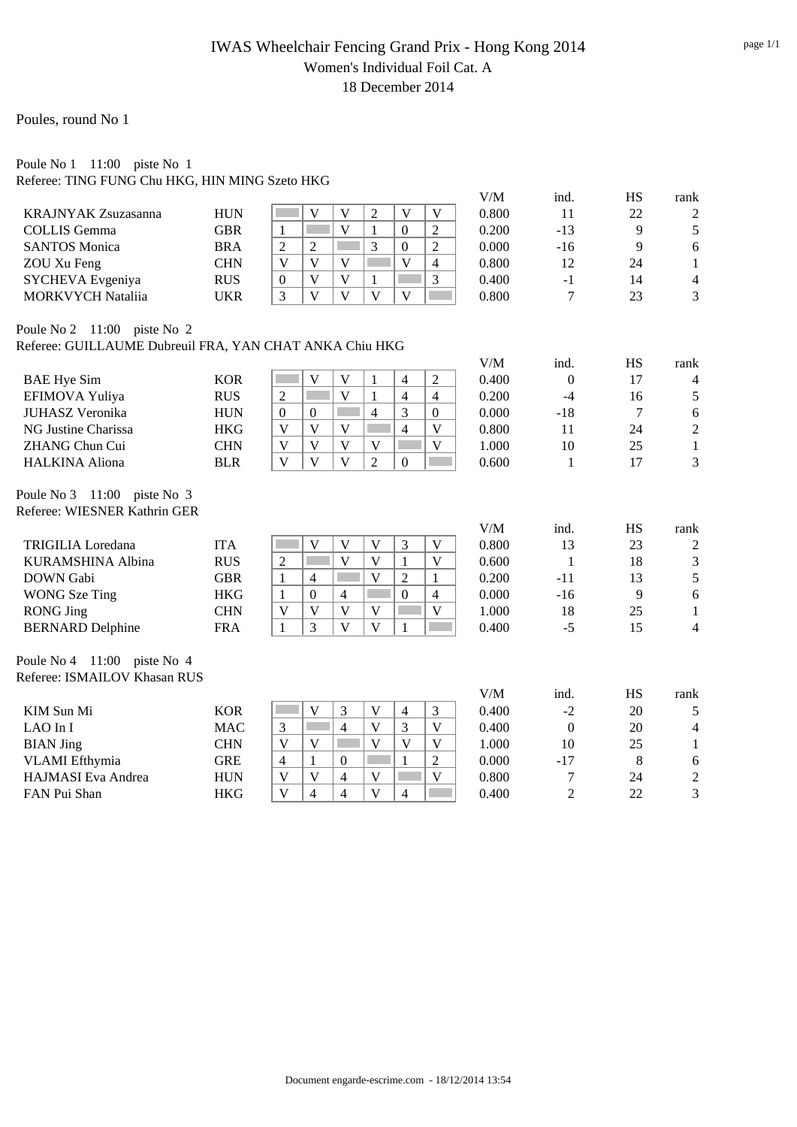### IWAS Wheelchair Fencing Grand Prix - Hong Kong 2014 Women's Individual Foil Cat. A 18 December 2014

### Poules, round No 1

#### Poule No 1 11:00 piste No 1 Referee: TING FUNG Chu HKG, HIN MING Szeto HKG

|                                                         |            |                                                                                                                                   | V/M   | ind.             | HS             | rank           |
|---------------------------------------------------------|------------|-----------------------------------------------------------------------------------------------------------------------------------|-------|------------------|----------------|----------------|
| <b>KRAJNYAK Zsuzasanna</b>                              | <b>HUN</b> | $\overline{2}$<br>V<br>V<br>V<br>V                                                                                                | 0.800 | 11               | 22             | $\overline{c}$ |
| <b>COLLIS</b> Gemma                                     | <b>GBR</b> | $\overline{\mathbf{V}}$<br>$\overline{2}$<br>$\mathbf{1}$<br><b>The State</b><br>$\mathbf{1}$<br>$\boldsymbol{0}$                 | 0.200 | $-13$            | 9              | 5              |
| <b>SANTOS Monica</b>                                    | <b>BRA</b> | $\overline{3}$<br>$\overline{2}$<br>$\overline{2}$<br><b>The State</b><br>$\overline{2}$<br>$\boldsymbol{0}$                      | 0.000 | $-16$            | 9              | 6              |
| ZOU Xu Feng                                             | <b>CHN</b> | $\overline{\mathsf{V}}$<br>$\overline{\mathsf{V}}$<br>$\overline{\mathsf{V}}$<br>$\mathbf V$<br>$\overline{4}$<br><b>Contract</b> | 0.800 | 12               | 24             | $\mathbf{1}$   |
| SYCHEVA Evgeniya                                        | <b>RUS</b> | $\mathbf{V}$<br>$\mathbf{V}$<br>3<br>$\mathbf{0}$<br>$\mathbf{1}$                                                                 | 0.400 | $-1$             | 14             | $\overline{4}$ |
| <b>MORKVYCH Nataliia</b>                                | <b>UKR</b> | $\overline{\mathbf{V}}$<br>$\overline{V}$<br>3<br>$\overline{\mathbf{V}}$<br>$\overline{\mathbf{V}}$<br>F                         | 0.800 | 7                | 23             | 3              |
| Poule No 2 11:00 piste No 2                             |            |                                                                                                                                   |       |                  |                |                |
| Referee: GUILLAUME Dubreuil FRA, YAN CHAT ANKA Chiu HKG |            |                                                                                                                                   |       |                  |                |                |
|                                                         |            |                                                                                                                                   | V/M   | ind.             | HS             | rank           |
| <b>BAE</b> Hye Sim                                      | <b>KOR</b> | $\overline{\mathbf{V}}$<br>$\overline{4}$<br>$\overline{2}$<br>V<br>1                                                             | 0.400 | $\mathbf{0}$     | 17             | $\overline{4}$ |
| EFIMOVA Yuliya                                          | <b>RUS</b> | $\overline{\mathbf{V}}$<br>$\overline{2}$<br>$\overline{4}$<br>$\overline{4}$<br>$\mathbf{1}$                                     | 0.200 | $-4$             | 16             | 5              |
| <b>JUHASZ Veronika</b>                                  | <b>HUN</b> | 3<br>$\overline{0}$<br>П<br>$\overline{4}$<br>$\boldsymbol{0}$<br>$\Omega$                                                        | 0.000 | $-18$            | $\overline{7}$ | 6              |
| NG Justine Charissa                                     | <b>HKG</b> | $\mathbf{V}$<br>$\overline{4}$<br>V<br>V<br>V                                                                                     | 0.800 | 11               | 24             | $\sqrt{2}$     |
| ZHANG Chun Cui                                          | <b>CHN</b> | $\overline{\mathsf{V}}$<br>$\mathbf V$<br>$\overline{\mathsf{V}}$<br>$\mathbf{V}$<br>Г<br>$\mathbf{V}$                            | 1.000 | 10               | 25             | $\,1$          |
| <b>HALKINA Aliona</b>                                   | <b>BLR</b> | $\overline{\mathbf{V}}$<br>V<br>V<br>$\overline{2}$<br>$\mathbf{0}$                                                               | 0.600 | 1                | 17             | 3              |
| Poule No 3 11:00 piste No 3                             |            |                                                                                                                                   |       |                  |                |                |
| Referee: WIESNER Kathrin GER                            |            |                                                                                                                                   |       |                  |                |                |
|                                                         |            |                                                                                                                                   | V/M   | ind.             | <b>HS</b>      | rank           |
| <b>TRIGILIA</b> Loredana                                | <b>ITA</b> | $\mathbf{V}$<br>$\overline{\mathsf{V}}$<br>3<br>$\mathbf V$<br>$\mathbf V$                                                        | 0.800 | 13               | 23             | $\overline{2}$ |
| <b>KURAMSHINA Albina</b>                                | <b>RUS</b> | $\overline{\mathbf{V}}$<br>$\mathbf{V}$<br>$\mathbf{2}$<br>$\mathbf{1}$<br>V                                                      | 0.600 | $\mathbf{1}$     | 18             | 3              |
| <b>DOWN</b> Gabi                                        | <b>GBR</b> | $\overline{V}$<br>$\overline{2}$<br>$\mathbf{1}$<br>$\overline{4}$<br>1<br>in 1                                                   | 0.200 | $-11$            | 13             | 5              |
| <b>WONG</b> Sze Ting                                    | <b>HKG</b> | $\boldsymbol{0}$<br>1<br>$\boldsymbol{0}$<br>4<br>$\overline{4}$                                                                  | 0.000 | $-16$            | 9              | $\sqrt{6}$     |
| <b>RONG Jing</b>                                        | <b>CHN</b> | $\overline{V}$<br>$\mathbf{V}$<br>$\mathbf V$<br>V<br>V                                                                           | 1.000 | 18               | 25             | $\mathbf{1}$   |
| <b>BERNARD Delphine</b>                                 | <b>FRA</b> | 3<br>$\overline{\mathsf{V}}$<br>$\mathbf{1}$<br>$\mathbf{V}$<br>$\mathbf{1}$                                                      | 0.400 | $-5$             | 15             | $\overline{4}$ |
| Poule No 4 11:00 piste No 4                             |            |                                                                                                                                   |       |                  |                |                |
| Referee: ISMAILOV Khasan RUS                            |            |                                                                                                                                   |       |                  |                |                |
|                                                         |            |                                                                                                                                   | V/M   | ind.             | <b>HS</b>      | rank           |
| KIM Sun Mi                                              | <b>KOR</b> | $\bar{V}$<br>V<br>3<br>$\overline{4}$<br>3                                                                                        | 0.400 | $-2$             | 20             | 5              |
| LAO In I                                                | <b>MAC</b> | $\overline{4}$<br>$\overline{V}$<br>3<br>3<br>$\mathbf{V}$                                                                        | 0.400 | $\boldsymbol{0}$ | 20             | $\overline{4}$ |
| <b>BIAN</b> Jing                                        | <b>CHN</b> | $\overline{\mathbf{V}}$<br>$\overline{V}$<br>$\overline{\mathbf{V}}$<br>V<br>i.<br>V                                              | 1.000 | 10               | 25             | $\mathbf{1}$   |
| <b>VLAMI</b> Efthymia                                   | <b>GRE</b> | $\mathbf{1}$<br>$\overline{4}$<br>$\mathbf{1}$<br>$\overline{2}$<br>$\overline{0}$                                                | 0.000 | $-17$            | 8              | 6              |
| HAJMASI Eva Andrea                                      | <b>HUN</b> | V<br>$\mathbf V$<br>4<br>V<br>V                                                                                                   | 0.800 | $\overline{7}$   | 24             | $\overline{c}$ |
| FAN Pui Shan                                            | <b>HKG</b> | $\overline{V}$<br>$\mathbf{V}$<br>$\overline{4}$<br>$\overline{4}$<br>4                                                           | 0.400 | $\overline{2}$   | 22             | $\overline{3}$ |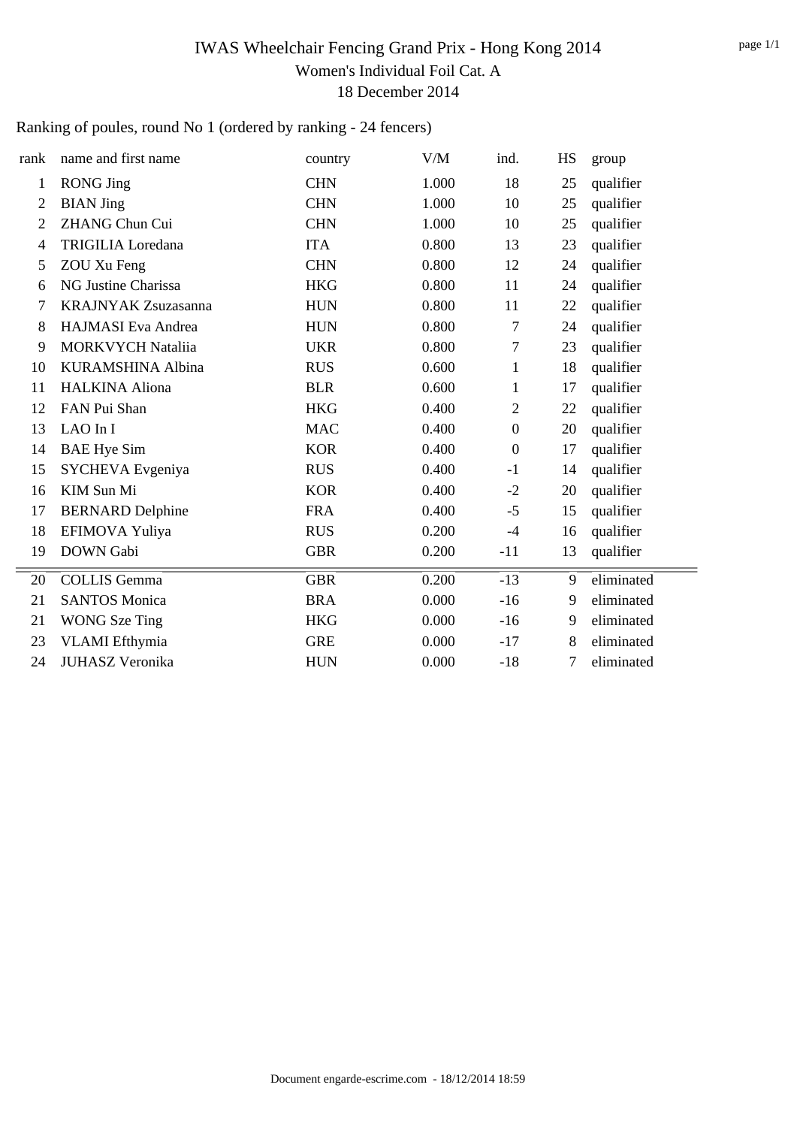## IWAS Wheelchair Fencing Grand Prix - Hong Kong 2014 Women's Individual Foil Cat. A 18 December 2014

Ranking of poules, round No 1 (ordered by ranking - 24 fencers)

| rank         | name and first name        | country    | V/M   | ind.             | HS | group      |
|--------------|----------------------------|------------|-------|------------------|----|------------|
| $\mathbf{1}$ | <b>RONG Jing</b>           | <b>CHN</b> | 1.000 | 18               | 25 | qualifier  |
| 2            | <b>BIAN</b> Jing           | <b>CHN</b> | 1.000 | 10               | 25 | qualifier  |
| 2            | <b>ZHANG Chun Cui</b>      | <b>CHN</b> | 1.000 | 10               | 25 | qualifier  |
| 4            | <b>TRIGILIA</b> Loredana   | <b>ITA</b> | 0.800 | 13               | 23 | qualifier  |
| 5            | ZOU Xu Feng                | <b>CHN</b> | 0.800 | 12               | 24 | qualifier  |
| 6            | NG Justine Charissa        | <b>HKG</b> | 0.800 | 11               | 24 | qualifier  |
| 7            | <b>KRAJNYAK Zsuzasanna</b> | <b>HUN</b> | 0.800 | 11               | 22 | qualifier  |
| 8            | HAJMASI Eva Andrea         | <b>HUN</b> | 0.800 | 7                | 24 | qualifier  |
| 9            | <b>MORKVYCH Nataliia</b>   | <b>UKR</b> | 0.800 | 7                | 23 | qualifier  |
| 10           | KURAMSHINA Albina          | <b>RUS</b> | 0.600 | 1                | 18 | qualifier  |
| 11           | <b>HALKINA Aliona</b>      | <b>BLR</b> | 0.600 | 1                | 17 | qualifier  |
| 12           | FAN Pui Shan               | <b>HKG</b> | 0.400 | $\overline{2}$   | 22 | qualifier  |
| 13           | LAO In I                   | <b>MAC</b> | 0.400 | $\boldsymbol{0}$ | 20 | qualifier  |
| 14           | <b>BAE</b> Hye Sim         | <b>KOR</b> | 0.400 | $\boldsymbol{0}$ | 17 | qualifier  |
| 15           | SYCHEVA Evgeniya           | <b>RUS</b> | 0.400 | $-1$             | 14 | qualifier  |
| 16           | KIM Sun Mi                 | <b>KOR</b> | 0.400 | $-2$             | 20 | qualifier  |
| 17           | <b>BERNARD</b> Delphine    | <b>FRA</b> | 0.400 | $-5$             | 15 | qualifier  |
| 18           | EFIMOVA Yuliya             | <b>RUS</b> | 0.200 | $-4$             | 16 | qualifier  |
| 19           | <b>DOWN</b> Gabi           | <b>GBR</b> | 0.200 | $-11$            | 13 | qualifier  |
| 20           | <b>COLLIS Gemma</b>        | <b>GBR</b> | 0.200 | $-13$            | 9  | eliminated |
| 21           | <b>SANTOS Monica</b>       | <b>BRA</b> | 0.000 | $-16$            | 9  | eliminated |
| 21           | <b>WONG</b> Sze Ting       | <b>HKG</b> | 0.000 | $-16$            | 9  | eliminated |
| 23           | <b>VLAMI</b> Efthymia      | <b>GRE</b> | 0.000 | $-17$            | 8  | eliminated |
| 24           | <b>JUHASZ Veronika</b>     | <b>HUN</b> | 0.000 | $-18$            | 7  | eliminated |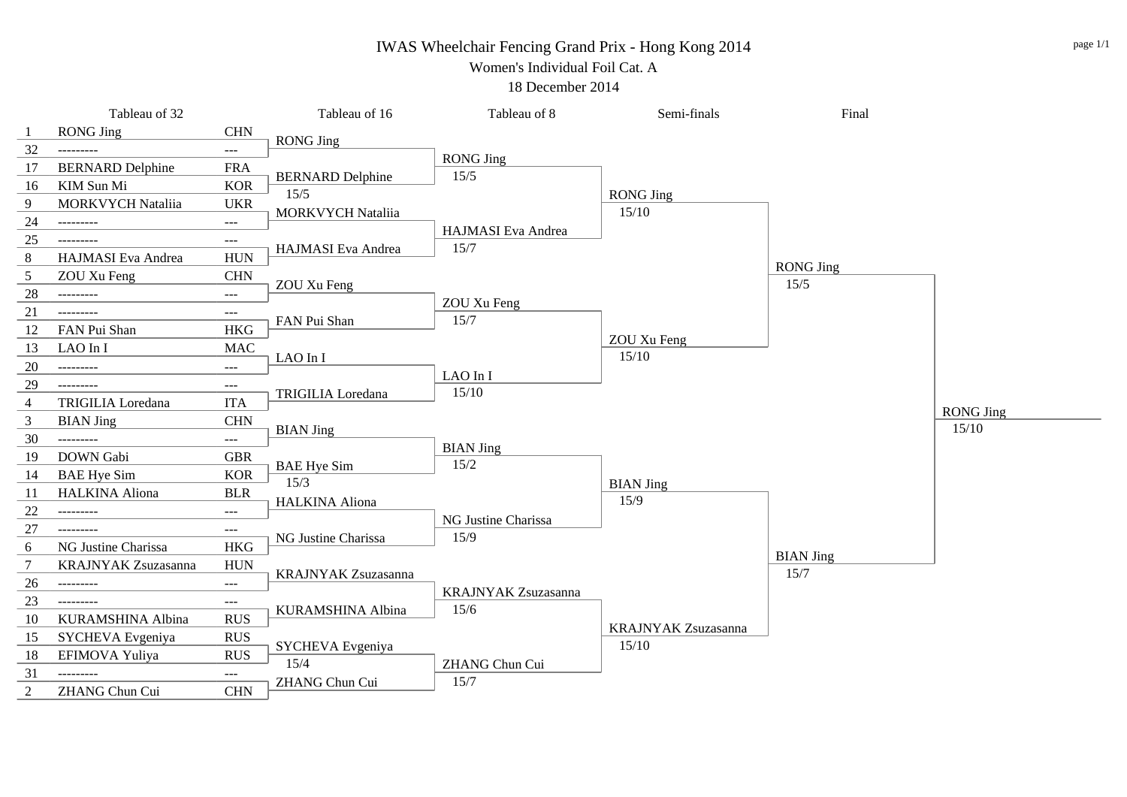### IWAS Wheelchair Fencing Grand Prix - Hong Kong 2014

Women's Individual Foil Cat. A

18 December 2014